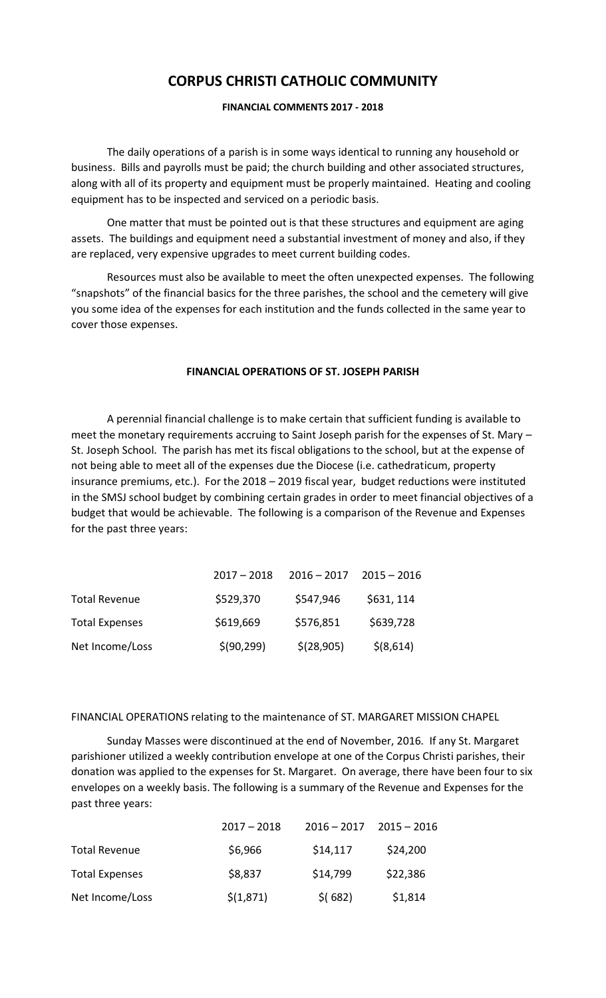# **CORPUS CHRISTI CATHOLIC COMMUNITY**

# **FINANCIAL COMMENTS 2017 - 2018**

The daily operations of a parish is in some ways identical to running any household or business. Bills and payrolls must be paid; the church building and other associated structures, along with all of its property and equipment must be properly maintained. Heating and cooling equipment has to be inspected and serviced on a periodic basis.

One matter that must be pointed out is that these structures and equipment are aging assets. The buildings and equipment need a substantial investment of money and also, if they are replaced, very expensive upgrades to meet current building codes.

Resources must also be available to meet the often unexpected expenses. The following "snapshots" of the financial basics for the three parishes, the school and the cemetery will give you some idea of the expenses for each institution and the funds collected in the same year to cover those expenses.

## **FINANCIAL OPERATIONS OF ST. JOSEPH PARISH**

A perennial financial challenge is to make certain that sufficient funding is available to meet the monetary requirements accruing to Saint Joseph parish for the expenses of St. Mary – St. Joseph School. The parish has met its fiscal obligations to the school, but at the expense of not being able to meet all of the expenses due the Diocese (i.e. cathedraticum, property insurance premiums, etc.). For the 2018 – 2019 fiscal year, budget reductions were instituted in the SMSJ school budget by combining certain grades in order to meet financial objectives of a budget that would be achievable. The following is a comparison of the Revenue and Expenses for the past three years:

|                       | $2017 - 2018$ | $2016 - 2017$ | $2015 - 2016$ |
|-----------------------|---------------|---------------|---------------|
| <b>Total Revenue</b>  | \$529,370     | \$547,946     | \$631, 114    |
| <b>Total Expenses</b> | \$619,669     | \$576,851     | \$639,728     |
| Net Income/Loss       | \$(90, 299)   | \$(28,905)    | $$$ (8,614)   |

## FINANCIAL OPERATIONS relating to the maintenance of ST. MARGARET MISSION CHAPEL

Sunday Masses were discontinued at the end of November, 2016. If any St. Margaret parishioner utilized a weekly contribution envelope at one of the Corpus Christi parishes, their donation was applied to the expenses for St. Margaret. On average, there have been four to six envelopes on a weekly basis. The following is a summary of the Revenue and Expenses for the past three years:

|                       | $2017 - 2018$ | $2016 - 2017$ | $2015 - 2016$ |
|-----------------------|---------------|---------------|---------------|
| <b>Total Revenue</b>  | \$6,966       | \$14,117      | \$24,200      |
| <b>Total Expenses</b> | \$8,837       | \$14,799      | \$22,386      |
| Net Income/Loss       | \$(1,871)     | $$$ (682)     | \$1,814       |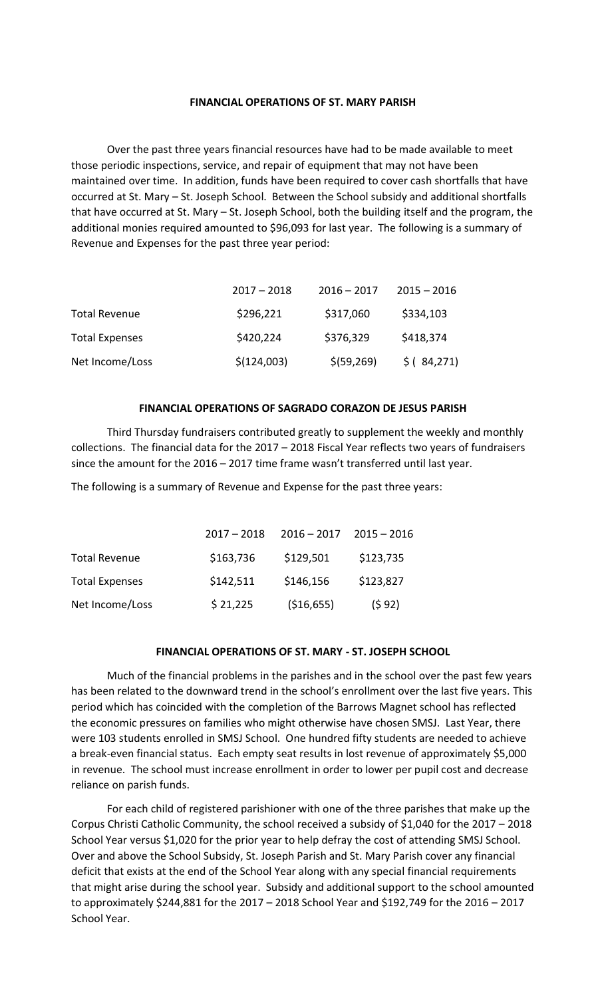## **FINANCIAL OPERATIONS OF ST. MARY PARISH**

Over the past three years financial resources have had to be made available to meet those periodic inspections, service, and repair of equipment that may not have been maintained over time. In addition, funds have been required to cover cash shortfalls that have occurred at St. Mary – St. Joseph School. Between the School subsidy and additional shortfalls that have occurred at St. Mary – St. Joseph School, both the building itself and the program, the additional monies required amounted to \$96,093 for last year. The following is a summary of Revenue and Expenses for the past three year period:

|                       | $2017 - 2018$ | $2016 - 2017$ | $2015 - 2016$ |
|-----------------------|---------------|---------------|---------------|
| <b>Total Revenue</b>  | \$296,221     | \$317,060     | \$334,103     |
| <b>Total Expenses</b> | \$420,224     | \$376,329     | \$418,374     |
| Net Income/Loss       | \$(124,003)   | \$ (59, 269)  | \$ (84,271)   |

## **FINANCIAL OPERATIONS OF SAGRADO CORAZON DE JESUS PARISH**

Third Thursday fundraisers contributed greatly to supplement the weekly and monthly collections. The financial data for the 2017 – 2018 Fiscal Year reflects two years of fundraisers since the amount for the 2016 – 2017 time frame wasn't transferred until last year.

The following is a summary of Revenue and Expense for the past three years:

|                       | $2017 - 2018$ | $2016 - 2017$ | $2015 - 2016$ |
|-----------------------|---------------|---------------|---------------|
| <b>Total Revenue</b>  | \$163,736     | \$129,501     | \$123,735     |
| <b>Total Expenses</b> | \$142,511     | \$146,156     | \$123,827     |
| Net Income/Loss       | \$21,225      | ( \$16, 655)  | (592)         |

## **FINANCIAL OPERATIONS OF ST. MARY - ST. JOSEPH SCHOOL**

Much of the financial problems in the parishes and in the school over the past few years has been related to the downward trend in the school's enrollment over the last five years. This period which has coincided with the completion of the Barrows Magnet school has reflected the economic pressures on families who might otherwise have chosen SMSJ. Last Year, there were 103 students enrolled in SMSJ School. One hundred fifty students are needed to achieve a break-even financial status. Each empty seat results in lost revenue of approximately \$5,000 in revenue. The school must increase enrollment in order to lower per pupil cost and decrease reliance on parish funds.

For each child of registered parishioner with one of the three parishes that make up the Corpus Christi Catholic Community, the school received a subsidy of \$1,040 for the 2017 – 2018 School Year versus \$1,020 for the prior year to help defray the cost of attending SMSJ School. Over and above the School Subsidy, St. Joseph Parish and St. Mary Parish cover any financial deficit that exists at the end of the School Year along with any special financial requirements that might arise during the school year. Subsidy and additional support to the school amounted to approximately \$244,881 for the 2017 – 2018 School Year and \$192,749 for the 2016 – 2017 School Year.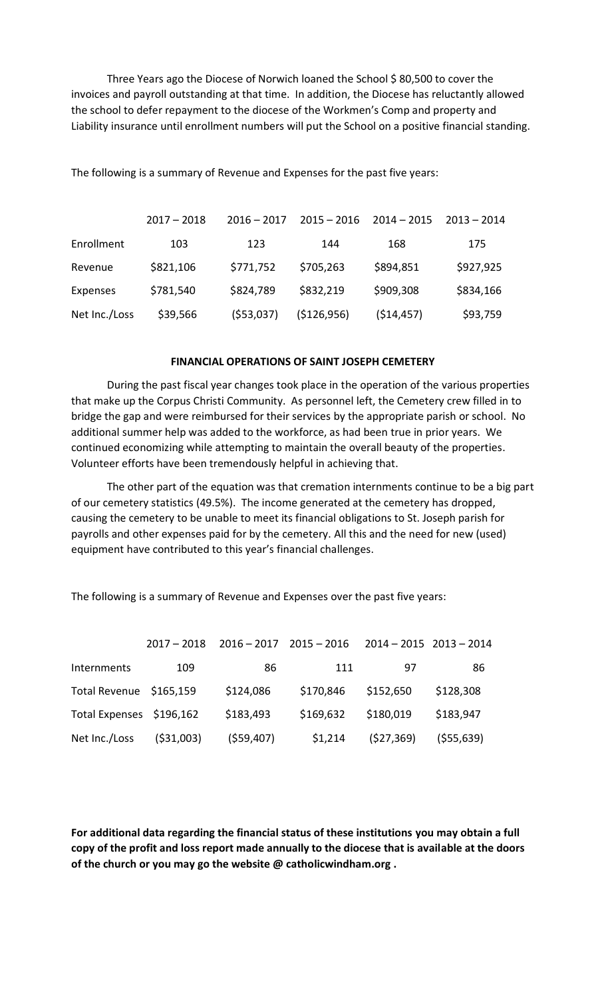Three Years ago the Diocese of Norwich loaned the School \$ 80,500 to cover the invoices and payroll outstanding at that time. In addition, the Diocese has reluctantly allowed the school to defer repayment to the diocese of the Workmen's Comp and property and Liability insurance until enrollment numbers will put the School on a positive financial standing.

The following is a summary of Revenue and Expenses for the past five years:

|               | $2017 - 2018$ | $2016 - 2017$ | $2015 - 2016$ | $2014 - 2015$ | $2013 - 2014$ |
|---------------|---------------|---------------|---------------|---------------|---------------|
| Enrollment    | 103           | 123           | 144           | 168           | 175           |
| Revenue       | \$821,106     | \$771,752     | \$705,263     | \$894,851     | \$927,925     |
| Expenses      | \$781,540     | \$824,789     | \$832,219     | \$909,308     | \$834,166     |
| Net Inc./Loss | \$39,566      | ( \$53,037)   | (\$126,956)   | (514, 457)    | \$93,759      |

### **FINANCIAL OPERATIONS OF SAINT JOSEPH CEMETERY**

During the past fiscal year changes took place in the operation of the various properties that make up the Corpus Christi Community. As personnel left, the Cemetery crew filled in to bridge the gap and were reimbursed for their services by the appropriate parish or school. No additional summer help was added to the workforce, as had been true in prior years. We continued economizing while attempting to maintain the overall beauty of the properties. Volunteer efforts have been tremendously helpful in achieving that.

The other part of the equation was that cremation internments continue to be a big part of our cemetery statistics (49.5%). The income generated at the cemetery has dropped, causing the cemetery to be unable to meet its financial obligations to St. Joseph parish for payrolls and other expenses paid for by the cemetery. All this and the need for new (used) equipment have contributed to this year's financial challenges.

 2017 – 2018 2016 – 2017 2015 – 2016 2014 – 2015 2013 – 2014 Internments 109 86 111 97 86 Total Revenue \$165,159 \$124,086 \$170,846 \$152,650 \$128,308 Total Expenses \$196,162 \$183,493 \$169,632 \$180,019 \$183,947 Net Inc./Loss (\$31,003) (\$59,407) \$1,214 (\$27,369) (\$55,639)

The following is a summary of Revenue and Expenses over the past five years:

**For additional data regarding the financial status of these institutions you may obtain a full copy of the profit and loss report made annually to the diocese that is available at the doors of the church or you may go the website @ catholicwindham.org .**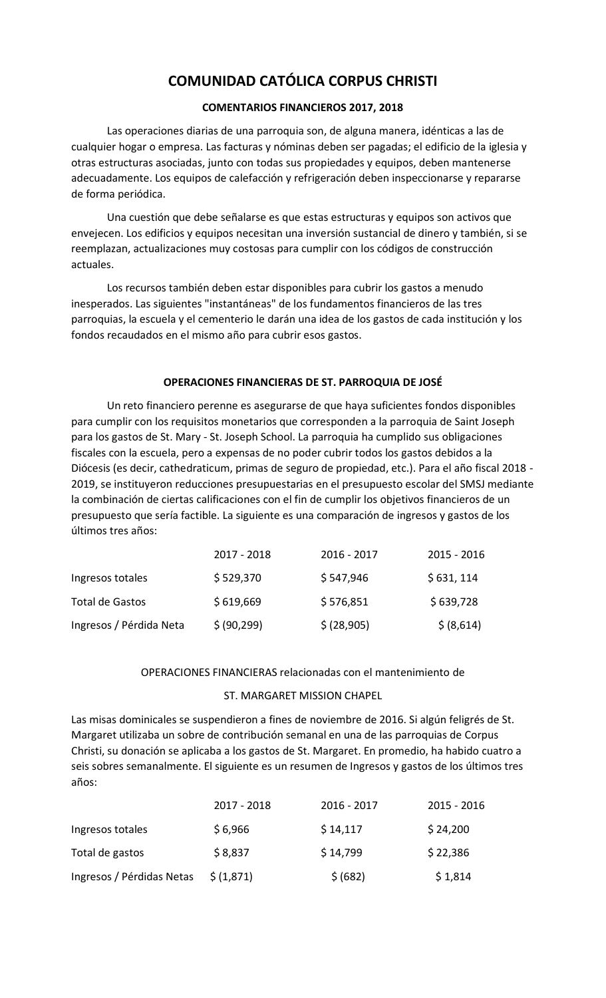# **COMUNIDAD CATÓLICA CORPUS CHRISTI**

# **COMENTARIOS FINANCIEROS 2017, 2018**

Las operaciones diarias de una parroquia son, de alguna manera, idénticas a las de cualquier hogar o empresa. Las facturas y nóminas deben ser pagadas; el edificio de la iglesia y otras estructuras asociadas, junto con todas sus propiedades y equipos, deben mantenerse adecuadamente. Los equipos de calefacción y refrigeración deben inspeccionarse y repararse de forma periódica.

Una cuestión que debe señalarse es que estas estructuras y equipos son activos que envejecen. Los edificios y equipos necesitan una inversión sustancial de dinero y también, si se reemplazan, actualizaciones muy costosas para cumplir con los códigos de construcción actuales.

Los recursos también deben estar disponibles para cubrir los gastos a menudo inesperados. Las siguientes "instantáneas" de los fundamentos financieros de las tres parroquias, la escuela y el cementerio le darán una idea de los gastos de cada institución y los fondos recaudados en el mismo año para cubrir esos gastos.

# **OPERACIONES FINANCIERAS DE ST. PARROQUIA DE JOSÉ**

Un reto financiero perenne es asegurarse de que haya suficientes fondos disponibles para cumplir con los requisitos monetarios que corresponden a la parroquia de Saint Joseph para los gastos de St. Mary - St. Joseph School. La parroquia ha cumplido sus obligaciones fiscales con la escuela, pero a expensas de no poder cubrir todos los gastos debidos a la Diócesis (es decir, cathedraticum, primas de seguro de propiedad, etc.). Para el año fiscal 2018 - 2019, se instituyeron reducciones presupuestarias en el presupuesto escolar del SMSJ mediante la combinación de ciertas calificaciones con el fin de cumplir los objetivos financieros de un presupuesto que sería factible. La siguiente es una comparación de ingresos y gastos de los últimos tres años:

|                         | 2017 - 2018  | 2016 - 2017 | 2015 - 2016 |
|-------------------------|--------------|-------------|-------------|
| Ingresos totales        | \$529,370    | \$547,946   | \$631, 114  |
| Total de Gastos         | \$619,669    | \$576,851   | \$639,728   |
| Ingresos / Pérdida Neta | \$ (90, 299) | \$ (28,905) | \$ (8,614)  |

# OPERACIONES FINANCIERAS relacionadas con el mantenimiento de

# ST. MARGARET MISSION CHAPEL

Las misas dominicales se suspendieron a fines de noviembre de 2016. Si algún feligrés de St. Margaret utilizaba un sobre de contribución semanal en una de las parroquias de Corpus Christi, su donación se aplicaba a los gastos de St. Margaret. En promedio, ha habido cuatro a seis sobres semanalmente. El siguiente es un resumen de Ingresos y gastos de los últimos tres años:

|                           | 2017 - 2018 | $2016 - 2017$ | $2015 - 2016$ |
|---------------------------|-------------|---------------|---------------|
| Ingresos totales          | \$6,966     | \$14,117      | \$24,200      |
| Total de gastos           | \$8,837     | \$14,799      | \$22,386      |
| Ingresos / Pérdidas Netas | \$(1,871)   | \$ (682)      | \$1,814       |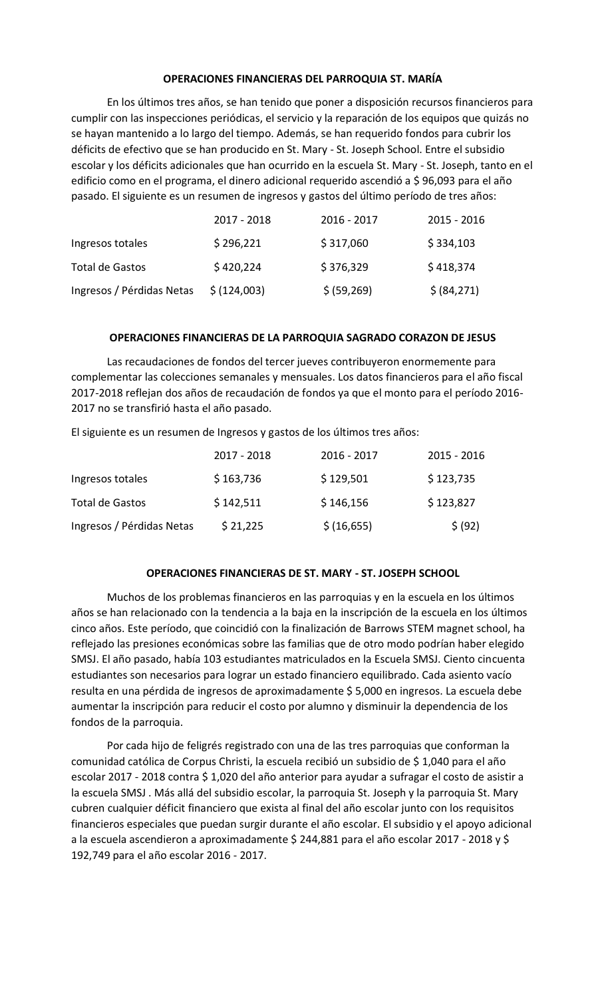# **OPERACIONES FINANCIERAS DEL PARROQUIA ST. MARÍA**

En los últimos tres años, se han tenido que poner a disposición recursos financieros para cumplir con las inspecciones periódicas, el servicio y la reparación de los equipos que quizás no se hayan mantenido a lo largo del tiempo. Además, se han requerido fondos para cubrir los déficits de efectivo que se han producido en St. Mary - St. Joseph School. Entre el subsidio escolar y los déficits adicionales que han ocurrido en la escuela St. Mary - St. Joseph, tanto en el edificio como en el programa, el dinero adicional requerido ascendió a \$ 96,093 para el año pasado. El siguiente es un resumen de ingresos y gastos del último período de tres años:

|                           | 2017 - 2018  | $2016 - 2017$ | $2015 - 2016$ |
|---------------------------|--------------|---------------|---------------|
| Ingresos totales          | \$296,221    | \$317,060     | \$334,103     |
| Total de Gastos           | \$420,224    | \$376,329     | \$418,374     |
| Ingresos / Pérdidas Netas | \$ (124,003) | \$ (59, 269)  | \$ (84, 271)  |

## **OPERACIONES FINANCIERAS DE LA PARROQUIA SAGRADO CORAZON DE JESUS**

Las recaudaciones de fondos del tercer jueves contribuyeron enormemente para complementar las colecciones semanales y mensuales. Los datos financieros para el año fiscal 2017-2018 reflejan dos años de recaudación de fondos ya que el monto para el período 2016- 2017 no se transfirió hasta el año pasado.

El siguiente es un resumen de Ingresos y gastos de los últimos tres años:

|                           | 2017 - 2018 | 2016 - 2017 | $2015 - 2016$ |
|---------------------------|-------------|-------------|---------------|
| Ingresos totales          | \$163,736   | \$129,501   | \$123,735     |
| Total de Gastos           | \$142,511   | \$146,156   | \$123,827     |
| Ingresos / Pérdidas Netas | \$21,225    | \$(16,655)  | \$ (92)       |

## **OPERACIONES FINANCIERAS DE ST. MARY - ST. JOSEPH SCHOOL**

Muchos de los problemas financieros en las parroquias y en la escuela en los últimos años se han relacionado con la tendencia a la baja en la inscripción de la escuela en los últimos cinco años. Este período, que coincidió con la finalización de Barrows STEM magnet school, ha reflejado las presiones económicas sobre las familias que de otro modo podrían haber elegido SMSJ. El año pasado, había 103 estudiantes matriculados en la Escuela SMSJ. Ciento cincuenta estudiantes son necesarios para lograr un estado financiero equilibrado. Cada asiento vacío resulta en una pérdida de ingresos de aproximadamente \$ 5,000 en ingresos. La escuela debe aumentar la inscripción para reducir el costo por alumno y disminuir la dependencia de los fondos de la parroquia.

Por cada hijo de feligrés registrado con una de las tres parroquias que conforman la comunidad católica de Corpus Christi, la escuela recibió un subsidio de \$ 1,040 para el año escolar 2017 - 2018 contra \$ 1,020 del año anterior para ayudar a sufragar el costo de asistir a la escuela SMSJ . Más allá del subsidio escolar, la parroquia St. Joseph y la parroquia St. Mary cubren cualquier déficit financiero que exista al final del año escolar junto con los requisitos financieros especiales que puedan surgir durante el año escolar. El subsidio y el apoyo adicional a la escuela ascendieron a aproximadamente \$ 244,881 para el año escolar 2017 - 2018 y \$ 192,749 para el año escolar 2016 - 2017.